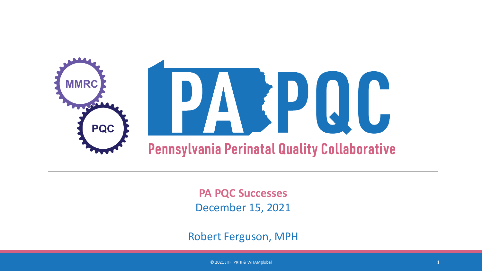

**PA PQC Successes** December 15, 2021

Robert Ferguson, MPH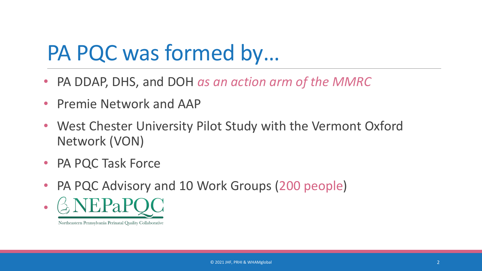# PA PQC was formed by…

- PA DDAP, DHS, and DOH *as an action arm of the MMRC*
- Premie Network and AAP
- West Chester University Pilot Study with the Vermont Oxford Network (VON)
- PA PQC Task Force
- PA PQC Advisory and 10 Work Groups (200 people)

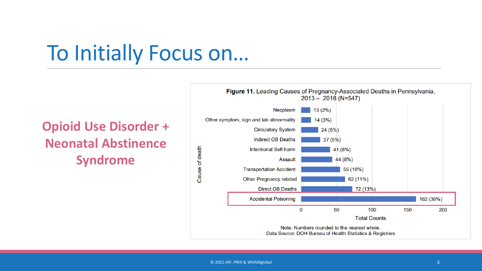# To Initially Focus on…

### **Opioid Use Disorder + Neonatal Abstinence Syndrome**

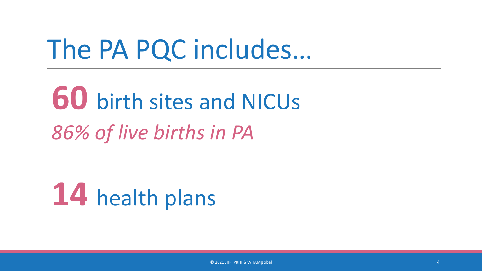# The PA PQC includes…

# **60** birth sites and NICUs *86% of live births in PA*

**14** health plans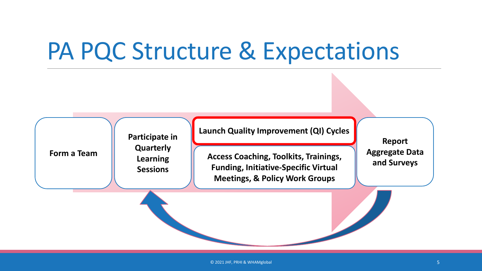# PA PQC Structure & Expectations

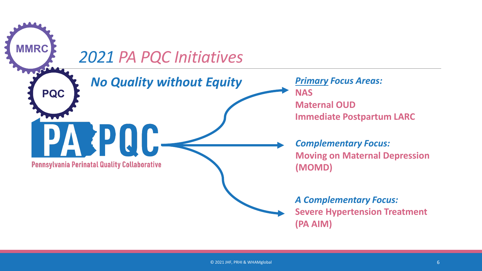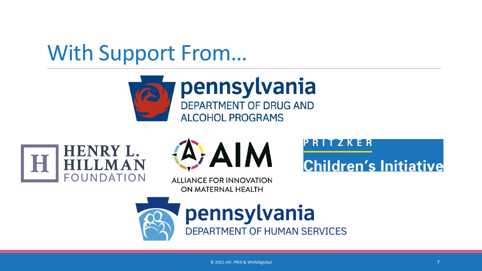# With Support From…







**ALLIANCE FOR INNOVATION** ON MATERNAL HEALTH

RITZKER

**Children's Initiative** 

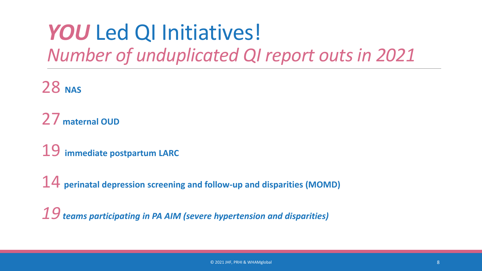## YOU Led QI Initiatives! *Number of unduplicated QI report outs in 2021*

**NAS**

**maternal OUD**

**immediate postpartum LARC** 

**perinatal depression screening and follow-up and disparities (MOMD)**

*teams participating in PA AIM (severe hypertension and disparities)*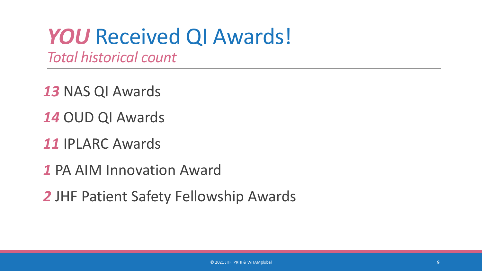# YOU Received QI Awards!

*Total historical count*

NAS QI Awards

- OUD QI Awards
- IPLARC Awards
- PA AIM Innovation Award
- JHF Patient Safety Fellowship Awards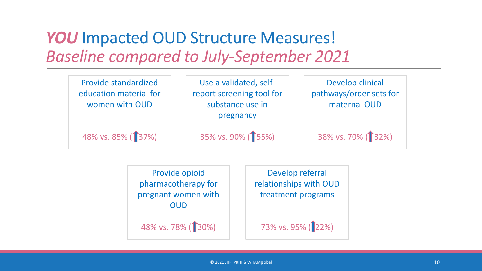### YOU Impacted OUD Structure Measures! *Baseline compared to July-September 2021*



Provide opioid pharmacotherapy for pregnant women with OUD

48% vs. 78% (130%)

Develop referral relationships with OUD treatment programs

73% vs. 95% (22%)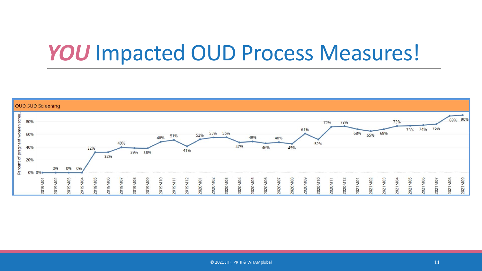# YOU Impacted OUD Process Measures!

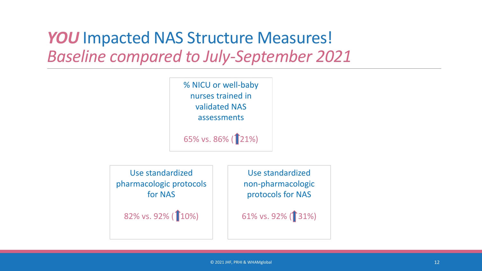### YOU Impacted NAS Structure Measures! *Baseline compared to July-September 2021*



Use standardized pharmacologic protocols for NAS

82% vs. 92% (10%)

Use standardized non-pharmacologic protocols for NAS

61% vs. 92% (**1**31%)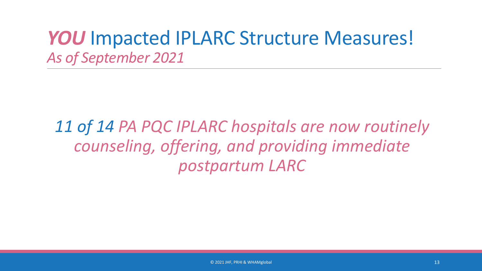### YOU Impacted IPLARC Structure Measures! *As of September 2021*

*11 of 14 PA PQC IPLARC hospitals are now routinely counseling, offering, and providing immediate postpartum LARC*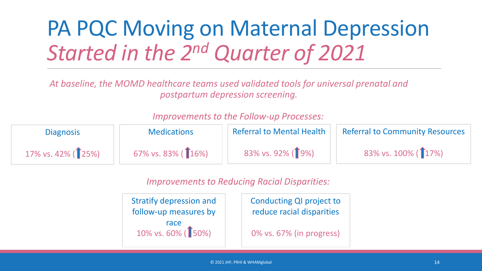# PA PQC Moving on Maternal Depression *Started in the 2nd Quarter of 2021*

*At baseline, the MOMD healthcare teams used validated tools for universal prenatal and postpartum depression screening.*

#### Referral to Mental Health 83% vs. 92% (19%) **Medications** 67% vs. 83% ( 16%) **Diagnosis** 17% vs. 42%  $($  $[$ 25% $)$ Referral to Community Resources 83% vs. 100% (17%)

### *Improvements to the Follow-up Processes:*

*Improvements to Reducing Racial Disparities:*

Stratify depression and follow-up measures by race 10% vs. 60% (<sup>1</sup>50%)

Conducting QI project to reduce racial disparities

0% vs. 67% (in progress)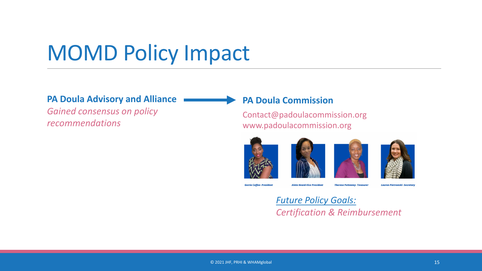# MOMD Policy Impact

### **PA Doula Advisory and Alliance**

*Gained consensus on policy recommendations*

### **PA Doula Commission**

Contact@padoulacommission.org www.padoulacommission.org





**Gerria Coffee-President** 

**Aleta Heard-Vice President Theresa Pettaway- Treasurer**  Lauren Pietrowski- Secretary

*Future Policy Goals: Certification & Reimbursement*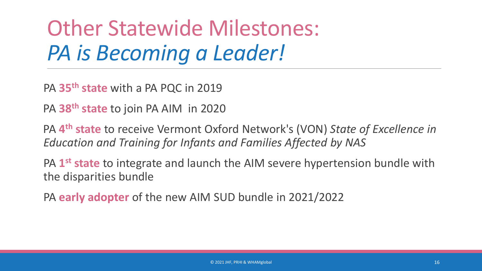# Other Statewide Milestones: *PA is Becoming a Leader!*

PA **35th state** with a PA PQC in 2019

PA **38th state** to join PA AIM in 2020

PA **4th state** to receive Vermont Oxford Network's (VON) *State of Excellence in Education and Training for Infants and Families Affected by NAS*

PA **1st state** to integrate and launch the AIM severe hypertension bundle with the disparities bundle

PA **early adopter** of the new AIM SUD bundle in 2021/2022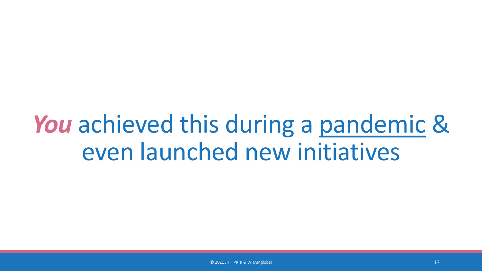# *You* achieved this during a pandemic & even launched new initiatives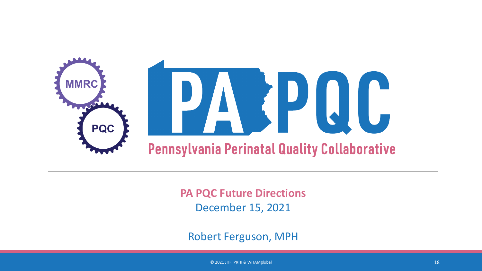

**PA PQC Future Directions** December 15, 2021

Robert Ferguson, MPH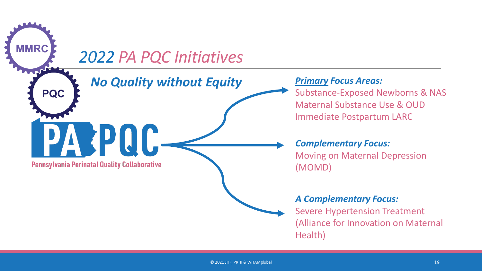# **MMRC** *2022 PA PQC Initiatives No Quality without Equity***PQC READER Pennsylvania Perinatal Quality Collaborative**

### *Primary Focus Areas:*

Substance-Exposed Newborns & NAS Maternal Substance Use & OUD Immediate Postpartum LARC

*Complementary Focus:*  Moving on Maternal Depression (MOMD)

#### *A Complementary Focus:*

Severe Hypertension Treatment (Alliance for Innovation on Maternal Health)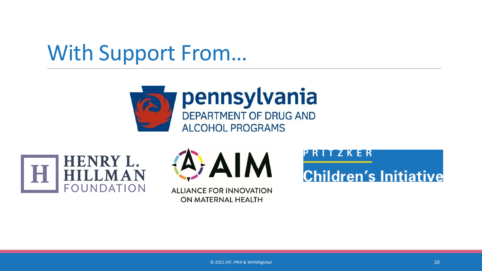# With Support From…







**ALLIANCE FOR INNOVATION** ON MATERNAL HEALTH

RITZKER

**Children's Initiative**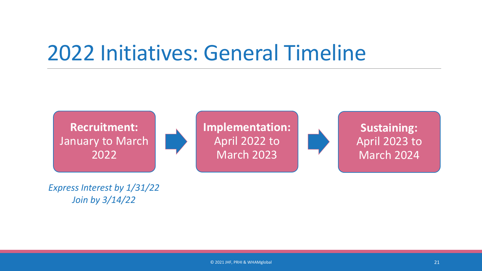# 2022 Initiatives: General Timeline



*Express Interest by 1/31/22 Join by 3/14/22*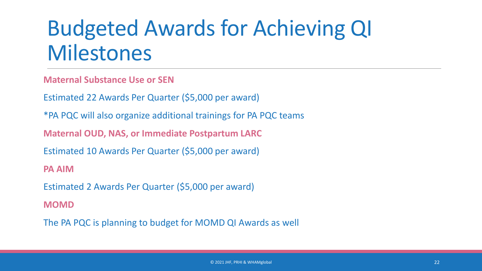# Budgeted Awards for Achieving QI Milestones

**Maternal Substance Use or SEN**

Estimated 22 Awards Per Quarter (\$5,000 per award)

\*PA PQC will also organize additional trainings for PA PQC teams

**Maternal OUD, NAS, or Immediate Postpartum LARC**

Estimated 10 Awards Per Quarter (\$5,000 per award)

**PA AIM** 

Estimated 2 Awards Per Quarter (\$5,000 per award)

**MOMD**

The PA PQC is planning to budget for MOMD QI Awards as well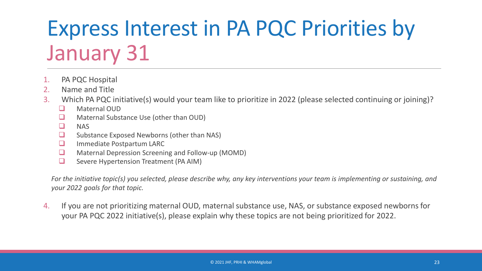# Express Interest in PA PQC Priorities by January 31

- 1. PA PQC Hospital
- 2. Name and Title
- 3. Which PA PQC initiative(s) would your team like to prioritize in 2022 (please selected continuing or joining)?
	- **Naternal OUD**
	- **Q** Maternal Substance Use (other than OUD)
	- $\Box$  NAS
	- $\Box$  Substance Exposed Newborns (other than NAS)
	- **Immediate Postpartum LARC**
	- **Q** Maternal Depression Screening and Follow-up (MOMD)
	- $\Box$  Severe Hypertension Treatment (PA AIM)

*For the initiative topic(s) you selected, please describe why, any key interventions your team is implementing or sustaining, and your 2022 goals for that topic.* 

4. If you are not prioritizing maternal OUD, maternal substance use, NAS, or substance exposed newborns for your PA PQC 2022 initiative(s), please explain why these topics are not being prioritized for 2022.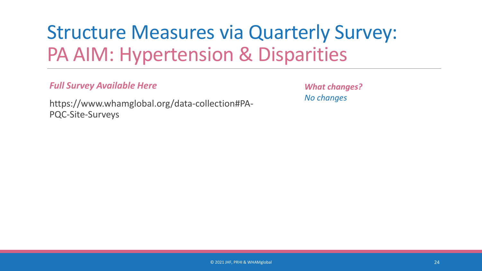# Structure Measures via Quarterly Survey: PA AIM: Hypertension & Disparities

### *Full Survey Available Here*

*What changes? No changes*

https://www.whamglobal.org/data-collection#PA-PQC-Site-Surveys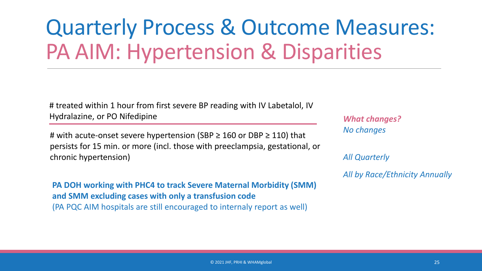# Quarterly Process & Outcome Measures: PA AIM: Hypertension & Disparities

# treated within 1 hour from first severe BP reading with IV Labetalol, IV Hydralazine, or PO Nifedipine

# with acute-onset severe hypertension (SBP  $\geq$  160 or DBP  $\geq$  110) that persists for 15 min. or more (incl. those with preeclampsia, gestational, or chronic hypertension)

**PA DOH working with PHC4 to track Severe Maternal Morbidity (SMM) and SMM excluding cases with only a transfusion code**  (PA PQC AIM hospitals are still encouraged to internaly report as well)

*What changes? No changes*

*All Quarterly*

*All by Race/Ethnicity Annually*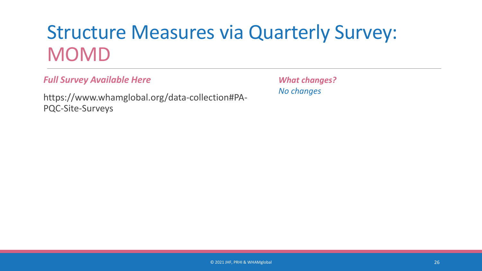## Structure Measures via Quarterly Survey: MOMD

*Full Survey Available Here*

https://www.whamglobal.org/data-collection#PA-PQC-Site-Surveys

*What changes? No changes*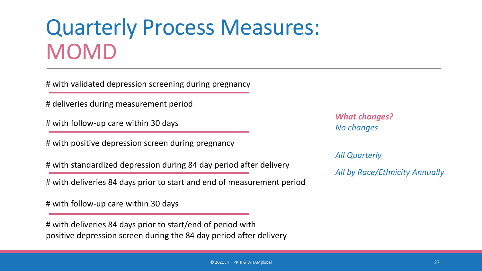# Quarterly Process Measures: MOMD

# with validated depression screening during pregnancy

# deliveries during measurement period

# with follow-up care within 30 days

# with positive depression screen during pregnancy

# with standardized depression during 84 day period after delivery

# with deliveries 84 days prior to start and end of measurement period

# with follow-up care within 30 days

# with deliveries 84 days prior to start/end of period with positive depression screen during the 84 day period after delivery

*What changes? No changes*

*All Quarterly*

*All by Race/Ethnicity Annually*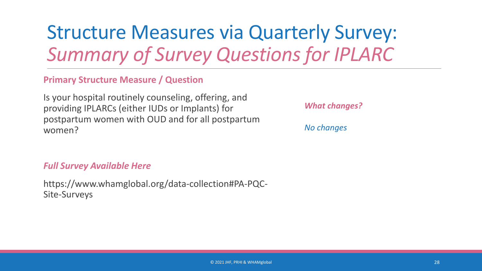## Structure Measures via Quarterly Survey: *Summary of Survey Questions for IPLARC*

### **Primary Structure Measure / Question**

Is your hospital routinely counseling, offering, and providing IPLARCs (either IUDs or Implants) for postpartum women with OUD and for all postpartum women?

#### *Full Survey Available Here*

https://www.whamglobal.org/data-collection#PA-PQC-Site-Surveys

*What changes?*

*No changes*